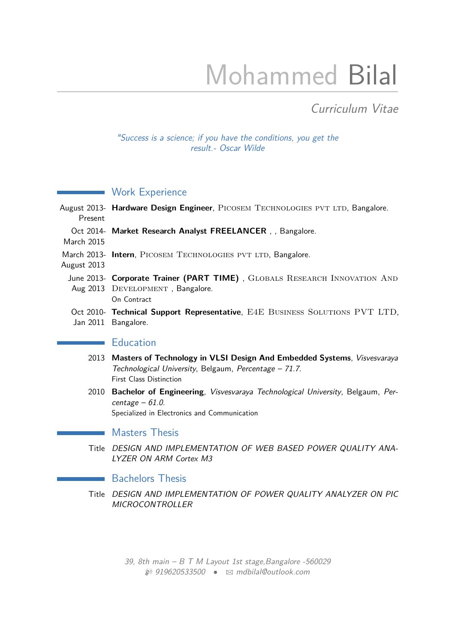# Mohammed Bilal

# Curriculum Vitae

"Success is a science; if you have the conditions, you get the result.- Oscar Wilde

## **Work Experience**

| Present                                    | August 2013- Hardware Design Engineer, PICOSEM TECHNOLOGIES PVT LTD, Bangalore.                                                       |
|--------------------------------------------|---------------------------------------------------------------------------------------------------------------------------------------|
| March 2015                                 | Oct 2014- Market Research Analyst FREELANCER, Bangalore.                                                                              |
| August 2013                                | March 2013- Intern, PICOSEM TECHNOLOGIES PVT LTD, Bangalore.                                                                          |
|                                            | June 2013- Corporate Trainer (PART TIME), GLOBALS RESEARCH INNOVATION AND<br>Aug 2013 DEVELOPMENT, Bangalore.<br>On Contract          |
| Jan 2011                                   | Oct 2010- Technical Support Representative, E4E BUSINESS SOLUTIONS PVT LTD,<br>Bangalore.                                             |
| and the state of the state of the state of | <b>Education</b>                                                                                                                      |
|                                            | 2013 Masters of Technology in VLSI Design And Embedded Systems, Visvesvaraya<br>Technological University, Belgaum, Percentage - 71.7. |

First Class Distinction

2010 **Bachelor of Engineering**, Visvesvaraya Technological University, Belgaum, Percentage  $-61.0$ . Specialized in Electronics and Communication

#### **Masters Thesis**

Title DESIGN AND IMPLEMENTATION OF WEB BASED POWER QUALITY ANA-LYZER ON ARM Cortex M3

#### **Bachelors Thesis**

Title DESIGN AND IMPLEMENTATION OF POWER QUALITY ANALYZER ON PIC **MICROCONTROLLER** 

> 39, 8th main –  $B T M$  Layout 1st stage, Bangalore -560029  $\otimes$  919620533500 •  $\boxtimes$  [mdbilal@outlook.com](mailto:mdbilal@outlook.com)